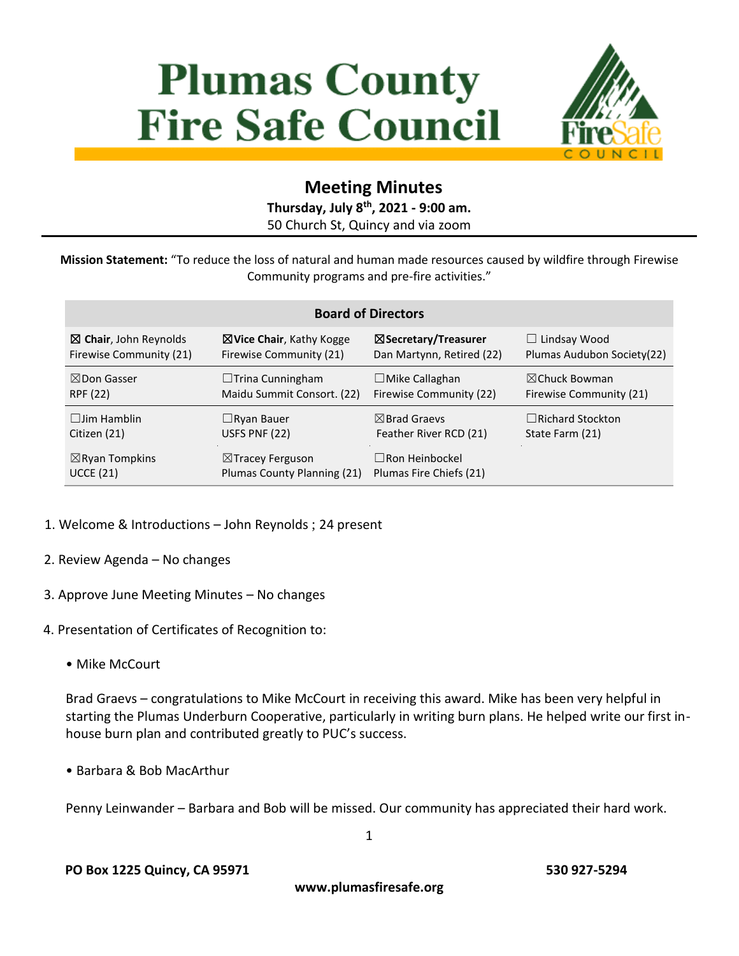# **Plumas County Fire Safe Council**



## **Meeting Minutes**

**Thursday, July 8 th, 2021 - 9:00 am.** 50 Church St, Quincy and via zoom

**Mission Statement:** "To reduce the loss of natural and human made resources caused by wildfire through Firewise Community programs and pre-fire activities."

| <b>Board of Directors</b>        |                                     |                                 |                             |
|----------------------------------|-------------------------------------|---------------------------------|-----------------------------|
| $\boxtimes$ Chair, John Reynolds | $\boxtimes$ Vice Chair, Kathy Kogge | $\boxtimes$ Secretary/Treasurer | $\Box$ Lindsay Wood         |
| Firewise Community (21)          | Firewise Community (21)             | Dan Martynn, Retired (22)       | Plumas Audubon Society (22) |
| $\boxtimes$ Don Gasser           | $\Box$ Trina Cunningham             | $\Box$ Mike Callaghan           | $\boxtimes$ Chuck Bowman    |
| RPF (22)                         | Maidu Summit Consort. (22)          | Firewise Community (22)         | Firewise Community (21)     |
| $\Box$ lim Hamblin               | $\Box$ Ryan Bauer                   | $\boxtimes$ Brad Graevs         | $\Box$ Richard Stockton     |
| Citizen (21)                     | USFS PNF (22)                       | Feather River RCD (21)          | State Farm (21)             |
| $\boxtimes$ Ryan Tompkins        | $\boxtimes$ Tracey Ferguson         | $\Box$ Ron Heinbockel           |                             |
| <b>UCCE (21)</b>                 | Plumas County Planning (21)         | Plumas Fire Chiefs (21)         |                             |

- 1. Welcome & Introductions John Reynolds ; 24 present
- 2. Review Agenda No changes
- 3. Approve June Meeting Minutes No changes
- 4. Presentation of Certificates of Recognition to:
	- Mike McCourt

Brad Graevs – congratulations to Mike McCourt in receiving this award. Mike has been very helpful in starting the Plumas Underburn Cooperative, particularly in writing burn plans. He helped write our first inhouse burn plan and contributed greatly to PUC's success.

• Barbara & Bob MacArthur

Penny Leinwander – Barbara and Bob will be missed. Our community has appreciated their hard work.

1

**www.plumasfiresafe.org**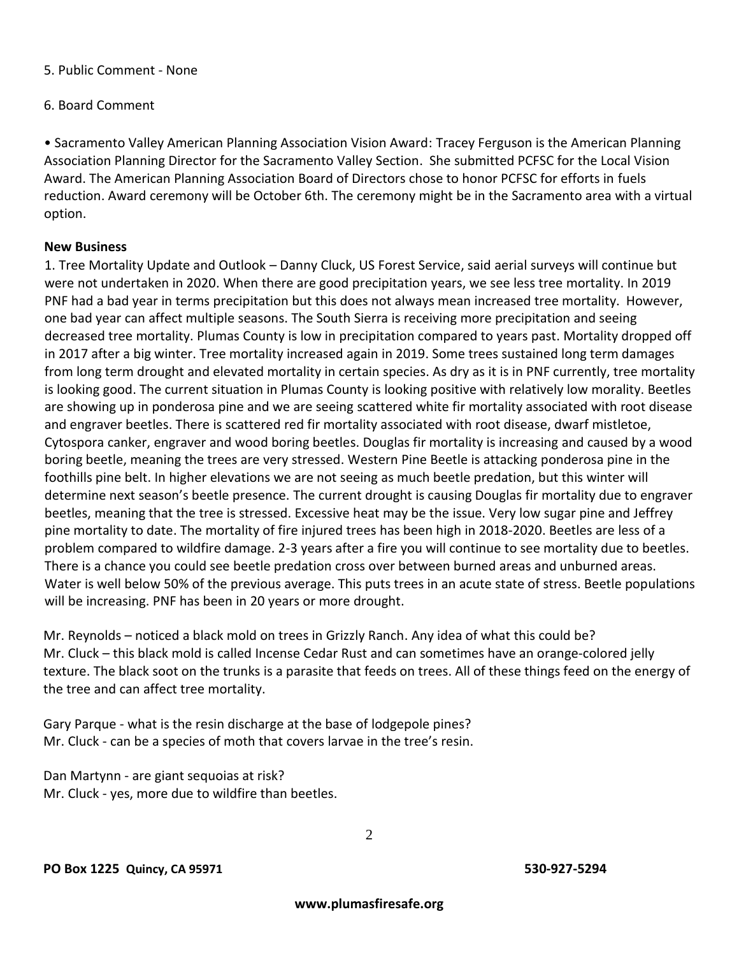#### 5. Public Comment - None

#### 6. Board Comment

• Sacramento Valley American Planning Association Vision Award: Tracey Ferguson is the American Planning Association Planning Director for the Sacramento Valley Section. She submitted PCFSC for the Local Vision Award. The American Planning Association Board of Directors chose to honor PCFSC for efforts in fuels reduction. Award ceremony will be October 6th. The ceremony might be in the Sacramento area with a virtual option.

#### **New Business**

1. Tree Mortality Update and Outlook – Danny Cluck, US Forest Service, said aerial surveys will continue but were not undertaken in 2020. When there are good precipitation years, we see less tree mortality. In 2019 PNF had a bad year in terms precipitation but this does not always mean increased tree mortality. However, one bad year can affect multiple seasons. The South Sierra is receiving more precipitation and seeing decreased tree mortality. Plumas County is low in precipitation compared to years past. Mortality dropped off in 2017 after a big winter. Tree mortality increased again in 2019. Some trees sustained long term damages from long term drought and elevated mortality in certain species. As dry as it is in PNF currently, tree mortality is looking good. The current situation in Plumas County is looking positive with relatively low morality. Beetles are showing up in ponderosa pine and we are seeing scattered white fir mortality associated with root disease and engraver beetles. There is scattered red fir mortality associated with root disease, dwarf mistletoe, Cytospora canker, engraver and wood boring beetles. Douglas fir mortality is increasing and caused by a wood boring beetle, meaning the trees are very stressed. Western Pine Beetle is attacking ponderosa pine in the foothills pine belt. In higher elevations we are not seeing as much beetle predation, but this winter will determine next season's beetle presence. The current drought is causing Douglas fir mortality due to engraver beetles, meaning that the tree is stressed. Excessive heat may be the issue. Very low sugar pine and Jeffrey pine mortality to date. The mortality of fire injured trees has been high in 2018-2020. Beetles are less of a problem compared to wildfire damage. 2-3 years after a fire you will continue to see mortality due to beetles. There is a chance you could see beetle predation cross over between burned areas and unburned areas. Water is well below 50% of the previous average. This puts trees in an acute state of stress. Beetle populations will be increasing. PNF has been in 20 years or more drought.

Mr. Reynolds – noticed a black mold on trees in Grizzly Ranch. Any idea of what this could be? Mr. Cluck – this black mold is called Incense Cedar Rust and can sometimes have an orange-colored jelly texture. The black soot on the trunks is a parasite that feeds on trees. All of these things feed on the energy of the tree and can affect tree mortality.

Gary Parque - what is the resin discharge at the base of lodgepole pines? Mr. Cluck - can be a species of moth that covers larvae in the tree's resin.

Dan Martynn - are giant sequoias at risk? Mr. Cluck - yes, more due to wildfire than beetles.

2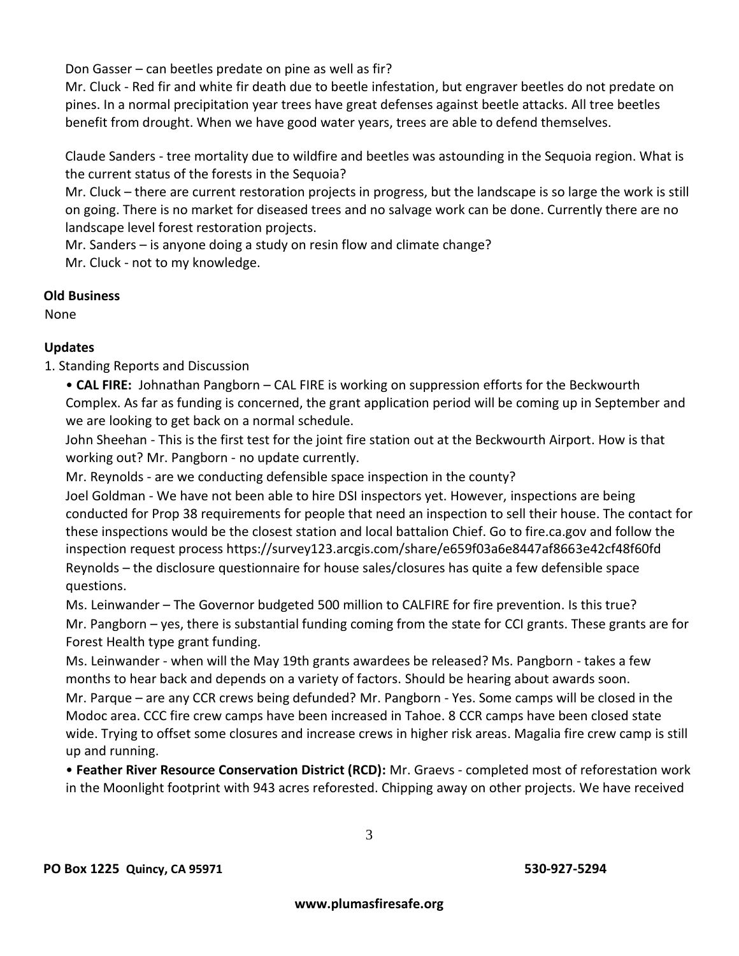Don Gasser – can beetles predate on pine as well as fir?

Mr. Cluck - Red fir and white fir death due to beetle infestation, but engraver beetles do not predate on pines. In a normal precipitation year trees have great defenses against beetle attacks. All tree beetles benefit from drought. When we have good water years, trees are able to defend themselves.

Claude Sanders - tree mortality due to wildfire and beetles was astounding in the Sequoia region. What is the current status of the forests in the Sequoia?

Mr. Cluck – there are current restoration projects in progress, but the landscape is so large the work is still on going. There is no market for diseased trees and no salvage work can be done. Currently there are no landscape level forest restoration projects.

Mr. Sanders – is anyone doing a study on resin flow and climate change? Mr. Cluck - not to my knowledge.

#### **Old Business**

None

### **Updates**

1. Standing Reports and Discussion

• **CAL FIRE:** Johnathan Pangborn – CAL FIRE is working on suppression efforts for the Beckwourth Complex. As far as funding is concerned, the grant application period will be coming up in September and we are looking to get back on a normal schedule.

John Sheehan - This is the first test for the joint fire station out at the Beckwourth Airport. How is that working out? Mr. Pangborn - no update currently.

Mr. Reynolds - are we conducting defensible space inspection in the county?

Joel Goldman - We have not been able to hire DSI inspectors yet. However, inspections are being conducted for Prop 38 requirements for people that need an inspection to sell their house. The contact for these inspections would be the closest station and local battalion Chief. Go to fire.ca.gov and follow the inspection request process https://survey123.arcgis.com/share/e659f03a6e8447af8663e42cf48f60fd Reynolds – the disclosure questionnaire for house sales/closures has quite a few defensible space questions.

Ms. Leinwander – The Governor budgeted 500 million to CALFIRE for fire prevention. Is this true? Mr. Pangborn – yes, there is substantial funding coming from the state for CCI grants. These grants are for Forest Health type grant funding.

Ms. Leinwander - when will the May 19th grants awardees be released? Ms. Pangborn - takes a few months to hear back and depends on a variety of factors. Should be hearing about awards soon. Mr. Parque – are any CCR crews being defunded? Mr. Pangborn - Yes. Some camps will be closed in the

Modoc area. CCC fire crew camps have been increased in Tahoe. 8 CCR camps have been closed state wide. Trying to offset some closures and increase crews in higher risk areas. Magalia fire crew camp is still up and running.

• **Feather River Resource Conservation District (RCD):** Mr. Graevs - completed most of reforestation work in the Moonlight footprint with 943 acres reforested. Chipping away on other projects. We have received

3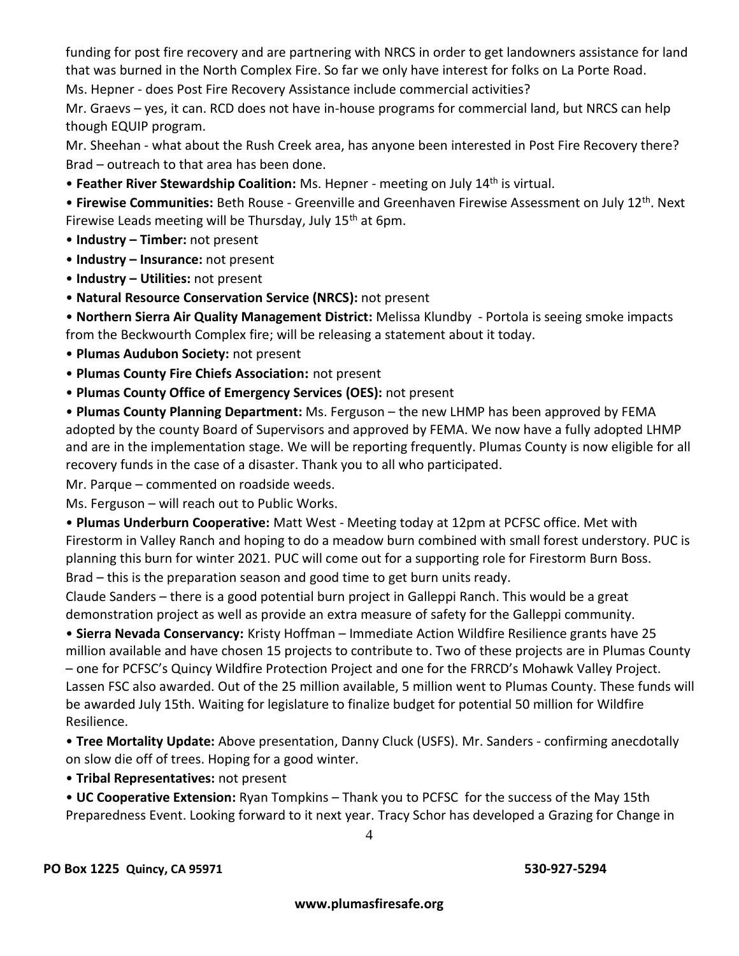funding for post fire recovery and are partnering with NRCS in order to get landowners assistance for land that was burned in the North Complex Fire. So far we only have interest for folks on La Porte Road.

Ms. Hepner - does Post Fire Recovery Assistance include commercial activities?

Mr. Graevs – yes, it can. RCD does not have in-house programs for commercial land, but NRCS can help though EQUIP program.

Mr. Sheehan - what about the Rush Creek area, has anyone been interested in Post Fire Recovery there? Brad – outreach to that area has been done.

• **Feather River Stewardship Coalition:** Ms. Hepner - meeting on July 14<sup>th</sup> is virtual.

• **Firewise Communities:** Beth Rouse - Greenville and Greenhaven Firewise Assessment on July 12th. Next Firewise Leads meeting will be Thursday, July 15<sup>th</sup> at 6pm.

- **Industry – Timber:** not present
- **Industry – Insurance:** not present
- **Industry – Utilities:** not present
- **Natural Resource Conservation Service (NRCS):** not present

• **Northern Sierra Air Quality Management District:** Melissa Klundby - Portola is seeing smoke impacts from the Beckwourth Complex fire; will be releasing a statement about it today.

- **Plumas Audubon Society:** not present
- **Plumas County Fire Chiefs Association:** not present
- **Plumas County Office of Emergency Services (OES):** not present

• **Plumas County Planning Department:** Ms. Ferguson – the new LHMP has been approved by FEMA adopted by the county Board of Supervisors and approved by FEMA. We now have a fully adopted LHMP and are in the implementation stage. We will be reporting frequently. Plumas County is now eligible for all recovery funds in the case of a disaster. Thank you to all who participated.

Mr. Parque – commented on roadside weeds.

Ms. Ferguson – will reach out to Public Works.

• **Plumas Underburn Cooperative:** Matt West - Meeting today at 12pm at PCFSC office. Met with Firestorm in Valley Ranch and hoping to do a meadow burn combined with small forest understory. PUC is planning this burn for winter 2021. PUC will come out for a supporting role for Firestorm Burn Boss. Brad – this is the preparation season and good time to get burn units ready.

Claude Sanders – there is a good potential burn project in Galleppi Ranch. This would be a great demonstration project as well as provide an extra measure of safety for the Galleppi community.

• **Sierra Nevada Conservancy:** Kristy Hoffman – Immediate Action Wildfire Resilience grants have 25 million available and have chosen 15 projects to contribute to. Two of these projects are in Plumas County – one for PCFSC's Quincy Wildfire Protection Project and one for the FRRCD's Mohawk Valley Project. Lassen FSC also awarded. Out of the 25 million available, 5 million went to Plumas County. These funds will be awarded July 15th. Waiting for legislature to finalize budget for potential 50 million for Wildfire Resilience.

• **Tree Mortality Update:** Above presentation, Danny Cluck (USFS). Mr. Sanders - confirming anecdotally on slow die off of trees. Hoping for a good winter.

• **Tribal Representatives:** not present

• **UC Cooperative Extension:** Ryan Tompkins – Thank you to PCFSC for the success of the May 15th Preparedness Event. Looking forward to it next year. Tracy Schor has developed a Grazing for Change in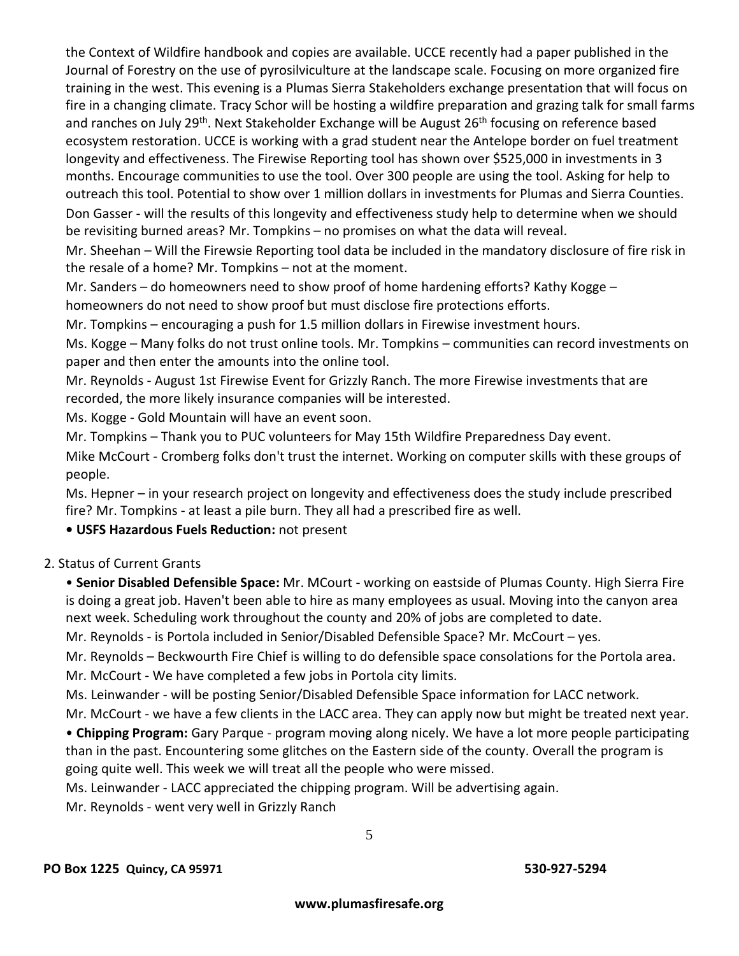the Context of Wildfire handbook and copies are available. UCCE recently had a paper published in the Journal of Forestry on the use of pyrosilviculture at the landscape scale. Focusing on more organized fire training in the west. This evening is a Plumas Sierra Stakeholders exchange presentation that will focus on fire in a changing climate. Tracy Schor will be hosting a wildfire preparation and grazing talk for small farms and ranches on July 29<sup>th</sup>. Next Stakeholder Exchange will be August 26<sup>th</sup> focusing on reference based ecosystem restoration. UCCE is working with a grad student near the Antelope border on fuel treatment longevity and effectiveness. The Firewise Reporting tool has shown over \$525,000 in investments in 3 months. Encourage communities to use the tool. Over 300 people are using the tool. Asking for help to outreach this tool. Potential to show over 1 million dollars in investments for Plumas and Sierra Counties. Don Gasser - will the results of this longevity and effectiveness study help to determine when we should be revisiting burned areas? Mr. Tompkins – no promises on what the data will reveal.

Mr. Sheehan – Will the Firewsie Reporting tool data be included in the mandatory disclosure of fire risk in the resale of a home? Mr. Tompkins – not at the moment.

Mr. Sanders – do homeowners need to show proof of home hardening efforts? Kathy Kogge – homeowners do not need to show proof but must disclose fire protections efforts.

Mr. Tompkins – encouraging a push for 1.5 million dollars in Firewise investment hours.

Ms. Kogge – Many folks do not trust online tools. Mr. Tompkins – communities can record investments on paper and then enter the amounts into the online tool.

Mr. Reynolds - August 1st Firewise Event for Grizzly Ranch. The more Firewise investments that are recorded, the more likely insurance companies will be interested.

Ms. Kogge - Gold Mountain will have an event soon.

Mr. Tompkins – Thank you to PUC volunteers for May 15th Wildfire Preparedness Day event.

Mike McCourt - Cromberg folks don't trust the internet. Working on computer skills with these groups of people.

Ms. Hepner – in your research project on longevity and effectiveness does the study include prescribed fire? Mr. Tompkins - at least a pile burn. They all had a prescribed fire as well.

**• USFS Hazardous Fuels Reduction:** not present

#### 2. Status of Current Grants

• **Senior Disabled Defensible Space:** Mr. MCourt - working on eastside of Plumas County. High Sierra Fire is doing a great job. Haven't been able to hire as many employees as usual. Moving into the canyon area next week. Scheduling work throughout the county and 20% of jobs are completed to date.

Mr. Reynolds - is Portola included in Senior/Disabled Defensible Space? Mr. McCourt – yes.

Mr. Reynolds – Beckwourth Fire Chief is willing to do defensible space consolations for the Portola area. Mr. McCourt - We have completed a few jobs in Portola city limits.

Ms. Leinwander - will be posting Senior/Disabled Defensible Space information for LACC network.

Mr. McCourt - we have a few clients in the LACC area. They can apply now but might be treated next year. • **Chipping Program:** Gary Parque - program moving along nicely. We have a lot more people participating than in the past. Encountering some glitches on the Eastern side of the county. Overall the program is

going quite well. This week we will treat all the people who were missed.

Ms. Leinwander - LACC appreciated the chipping program. Will be advertising again.

Mr. Reynolds - went very well in Grizzly Ranch